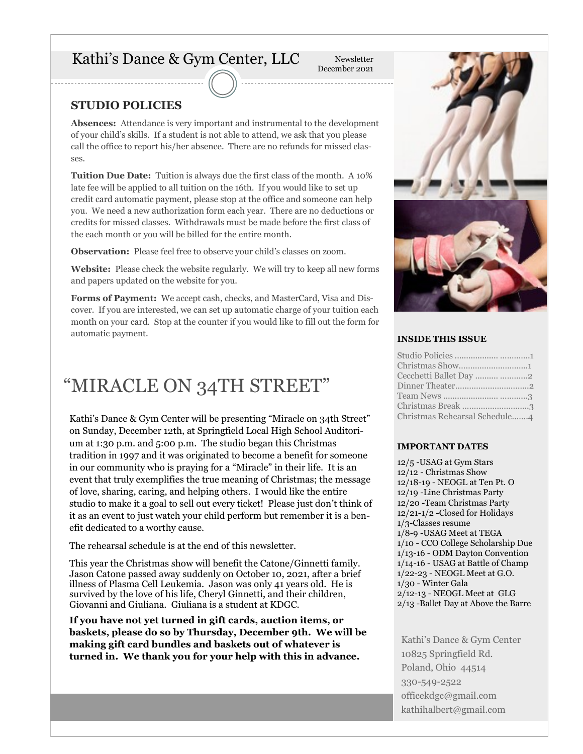# Kathi's Dance & Gym Center, LLC

Newsletter December 2021

### **STUDIO POLICIES**

**Absences:** Attendance is very important and instrumental to the development of your child's skills. If a student is not able to attend, we ask that you please call the office to report his/her absence. There are no refunds for missed classes.

**Tuition Due Date:** Tuition is always due the first class of the month. A 10% late fee will be applied to all tuition on the 16th. If you would like to set up credit card automatic payment, please stop at the office and someone can help you. We need a new authorization form each year. There are no deductions or credits for missed classes. Withdrawals must be made before the first class of the each month or you will be billed for the entire month.

**Observation:** Please feel free to observe your child's classes on zoom.

**Website:** Please check the website regularly. We will try to keep all new forms and papers updated on the website for you.

**Forms of Payment:** We accept cash, checks, and MasterCard, Visa and Discover. If you are interested, we can set up automatic charge of your tuition each month on your card. Stop at the counter if you would like to fill out the form for automatic payment. **INSIDE THIS ISSUE**

# "MIRACLE ON 34TH STREET"

Kathi's Dance & Gym Center will be presenting "Miracle on 34th Street" on Sunday, December 12th, at Springfield Local High School Auditorium at 1:30 p.m. and 5:00 p.m. The studio began this Christmas tradition in 1997 and it was originated to become a benefit for someone in our community who is praying for a "Miracle" in their life. It is an event that truly exemplifies the true meaning of Christmas; the message of love, sharing, caring, and helping others. I would like the entire studio to make it a goal to sell out every ticket! Please just don't think of it as an event to just watch your child perform but remember it is a benefit dedicated to a worthy cause.

The rehearsal schedule is at the end of this newsletter.

This year the Christmas show will benefit the Catone/Ginnetti family. Jason Catone passed away suddenly on October 10, 2021, after a brief illness of Plasma Cell Leukemia. Jason was only 41 years old. He is survived by the love of his life, Cheryl Ginnetti, and their children, Giovanni and Giuliana. Giuliana is a student at KDGC.

**If you have not yet turned in gift cards, auction items, or baskets, please do so by Thursday, December 9th. We will be making gift card bundles and baskets out of whatever is turned in. We thank you for your help with this in advance.** 



| Christmas Show1               |  |
|-------------------------------|--|
| Cecchetti Ballet Day  2       |  |
|                               |  |
|                               |  |
| Christmas Break 3             |  |
| Christmas Rehearsal Schedule4 |  |
|                               |  |

#### **IMPORTANT DATES**

12/5 -USAG at Gym Stars 12/12 - Christmas Show 12/18-19 - NEOGL at Ten Pt. O 12/19 -Line Christmas Party 12/20 -Team Christmas Party 12/21-1/2 -Closed for Holidays 1/3-Classes resume 1/8-9 -USAG Meet at TEGA 1/10 - CCO College Scholarship Due 1/13-16 - ODM Dayton Convention 1/14-16 - USAG at Battle of Champ 1/22-23 - NEOGL Meet at G.O. 1/30 - Winter Gala 2/12-13 - NEOGL Meet at GLG 2/13 -Ballet Day at Above the Barre

Kathi's Dance & Gym Center 10825 Springfield Rd. Poland, Ohio 44514 330-549-2522 officekdgc@gmail.com kathihalbert@gmail.com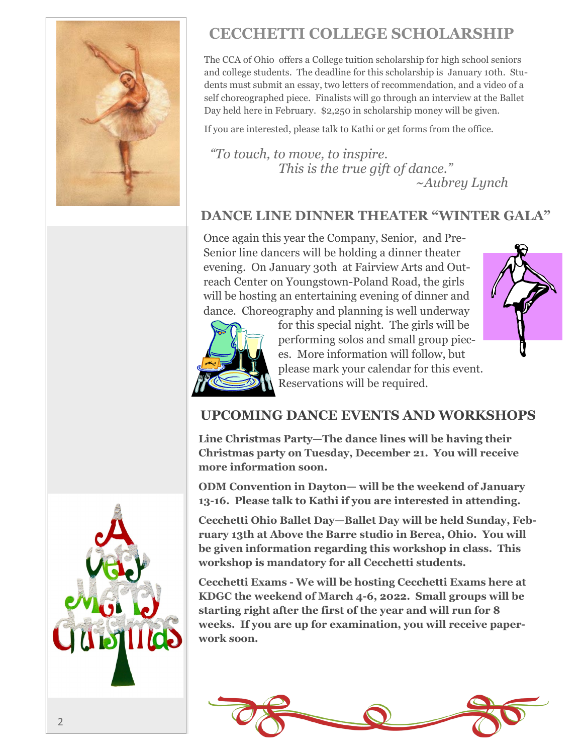

# **CECCHETTI COLLEGE SCHOLARSHIP**

The CCA of Ohio offers a College tuition scholarship for high school seniors and college students. The deadline for this scholarship is January 10th. Students must submit an essay, two letters of recommendation, and a video of a self choreographed piece. Finalists will go through an interview at the Ballet Day held here in February. \$2,250 in scholarship money will be given.

If you are interested, please talk to Kathi or get forms from the office.

*"To touch, to move, to inspire. This is the true gift of dance." ~Aubrey Lynch*

## **DANCE LINE DINNER THEATER "WINTER GALA"**

Once again this year the Company, Senior, and Pre-Senior line dancers will be holding a dinner theater evening. On January 30th at Fairview Arts and Outreach Center on Youngstown-Poland Road, the girls will be hosting an entertaining evening of dinner and dance. Choreography and planning is well underway





for this special night. The girls will be performing solos and small group pieces. More information will follow, but please mark your calendar for this event. Reservations will be required.

## **UPCOMING DANCE EVENTS AND WORKSHOPS**

**Line Christmas Party—The dance lines will be having their Christmas party on Tuesday, December 21. You will receive more information soon.** 

**ODM Convention in Dayton— will be the weekend of January 13-16. Please talk to Kathi if you are interested in attending.** 

**Cecchetti Ohio Ballet Day—Ballet Day will be held Sunday, February 13th at Above the Barre studio in Berea, Ohio. You will be given information regarding this workshop in class. This workshop is mandatory for all Cecchetti students.**

**Cecchetti Exams - We will be hosting Cecchetti Exams here at KDGC the weekend of March 4-6, 2022. Small groups will be starting right after the first of the year and will run for 8 weeks. If you are up for examination, you will receive paperwork soon.**



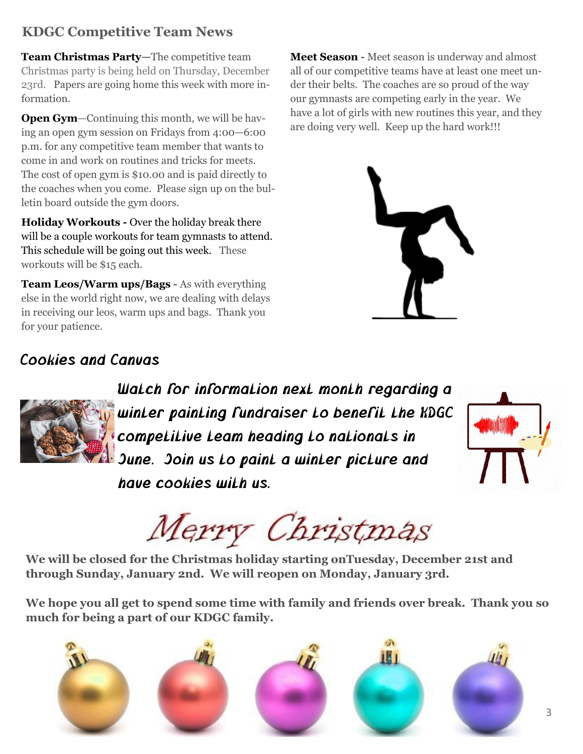# **KDGC Competitive Team News**

**Team Christmas Party—**The competitive team Christmas party is being held on Thursday, December 23rd. Papers are going home this week with more information.

**Open Gym**—Continuing this month, we will be having an open gym session on Fridays from 4:00—6:00 p.m. for any competitive team member that wants to come in and work on routines and tricks for meets. The cost of open gym is \$10.00 and is paid directly to the coaches when you come. Please sign up on the bulletin board outside the gym doors.

**Holiday Workouts -** Over the holiday break there will be a couple workouts for team gymnasts to attend. This schedule will be going out this week. These workouts will be \$15 each.

**Team Leos/Warm ups/Bags -** As with everything else in the world right now, we are dealing with delays in receiving our leos, warm ups and bags. Thank you for your patience.

**Meet Season -** Meet season is underway and almost all of our competitive teams have at least one meet under their belts. The coaches are so proud of the way our gymnasts are competing early in the year. We have a lot of girls with new routines this year, and they are doing very well. Keep up the hard work!!!



# Cookies and Canvas



Watch for information next month regarding a winter painting fundraiser to benefit the KDGC competitive team heading to nationals in June. Join us to paint a winter picture and have cookies with us.



Merry Christmas

**We will be closed for the Christmas holiday starting onTuesday, December 21st and through Sunday, January 2nd. We will reopen on Monday, January 3rd.**

**We hope you all get to spend some time with family and friends over break. Thank you so much for being a part of our KDGC family.**